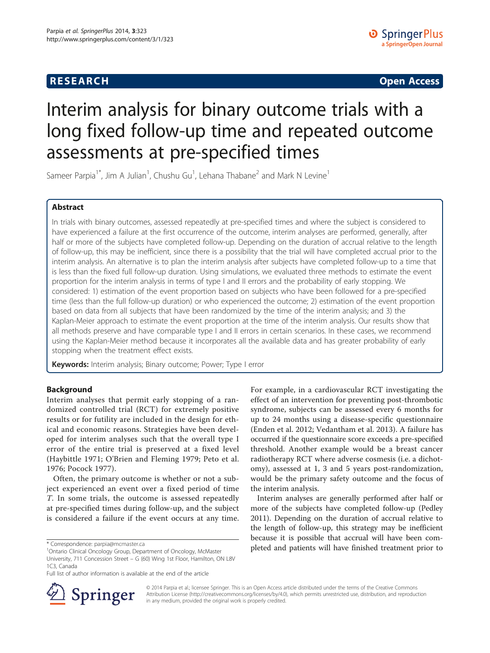# **RESEARCH CHINESE ARCH CHINESE ARCH CHINESE ARCH <b>CHINESE ARCH**

# Interim analysis for binary outcome trials with a long fixed follow-up time and repeated outcome assessments at pre-specified times

Sameer Parpia<sup>1\*</sup>, Jim A Julian<sup>1</sup>, Chushu Gu<sup>1</sup>, Lehana Thabane<sup>2</sup> and Mark N Levine<sup>1</sup>

# Abstract

In trials with binary outcomes, assessed repeatedly at pre-specified times and where the subject is considered to have experienced a failure at the first occurrence of the outcome, interim analyses are performed, generally, after half or more of the subjects have completed follow-up. Depending on the duration of accrual relative to the length of follow-up, this may be inefficient, since there is a possibility that the trial will have completed accrual prior to the interim analysis. An alternative is to plan the interim analysis after subjects have completed follow-up to a time that is less than the fixed full follow-up duration. Using simulations, we evaluated three methods to estimate the event proportion for the interim analysis in terms of type I and II errors and the probability of early stopping. We considered: 1) estimation of the event proportion based on subjects who have been followed for a pre-specified time (less than the full follow-up duration) or who experienced the outcome; 2) estimation of the event proportion based on data from all subjects that have been randomized by the time of the interim analysis; and 3) the Kaplan-Meier approach to estimate the event proportion at the time of the interim analysis. Our results show that all methods preserve and have comparable type I and II errors in certain scenarios. In these cases, we recommend using the Kaplan-Meier method because it incorporates all the available data and has greater probability of early stopping when the treatment effect exists.

Keywords: Interim analysis; Binary outcome; Power; Type I error

# Background

Interim analyses that permit early stopping of a randomized controlled trial (RCT) for extremely positive results or for futility are included in the design for ethical and economic reasons. Strategies have been developed for interim analyses such that the overall type I error of the entire trial is preserved at a fixed level (Haybittle [1971;](#page-6-0) O'Brien and Fleming [1979;](#page-6-0) Peto et al. [1976](#page-6-0); Pocock [1977\)](#page-6-0).

Often, the primary outcome is whether or not a subject experienced an event over a fixed period of time T. In some trials, the outcome is assessed repeatedly at pre-specified times during follow-up, and the subject is considered a failure if the event occurs at any time.

For example, in a cardiovascular RCT investigating the effect of an intervention for preventing post-thrombotic syndrome, subjects can be assessed every 6 months for up to 24 months using a disease-specific questionnaire (Enden et al. [2012;](#page-6-0) Vedantham et al. [2013\)](#page-6-0). A failure has occurred if the questionnaire score exceeds a pre-specified threshold. Another example would be a breast cancer radiotherapy RCT where adverse cosmesis (i.e. a dichotomy), assessed at 1, 3 and 5 years post-randomization, would be the primary safety outcome and the focus of the interim analysis.

Interim analyses are generally performed after half or more of the subjects have completed follow-up (Pedley [2011](#page-6-0)). Depending on the duration of accrual relative to the length of follow-up, this strategy may be inefficient because it is possible that accrual will have been com\* Correspondence: [parpia@mcmaster.ca](mailto:parpia@mcmaster.ca) **bless** parameter.ca **bless** pleted and patients will have finished treatment prior to \* 100 pleted and patients will have finished treatment prior to



© 2014 Parpia et al.; licensee Springer. This is an Open Access article distributed under the terms of the Creative Commons Attribution License [\(http://creativecommons.org/licenses/by/4.0\)](http://creativecommons.org/licenses/by/4.0), which permits unrestricted use, distribution, and reproduction in any medium, provided the original work is properly credited.

Ontario Clinical Oncology Group, Department of Oncology, McMaster University, 711 Concession Street – G (60) Wing 1st Floor, Hamilton, ON L8V 1C3, Canada

Full list of author information is available at the end of the article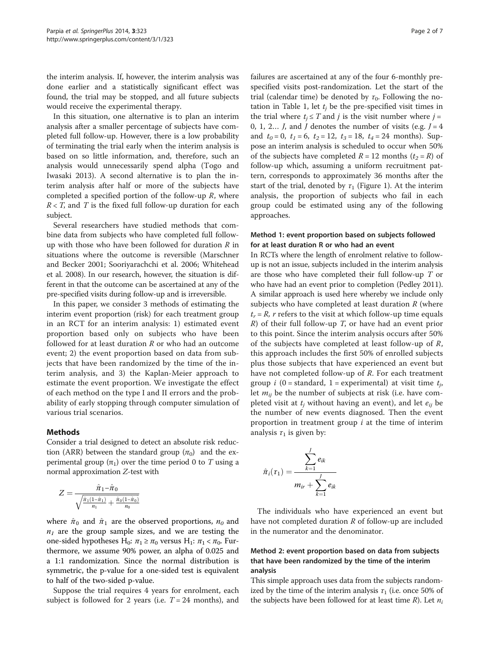<span id="page-1-0"></span>the interim analysis. If, however, the interim analysis was done earlier and a statistically significant effect was found, the trial may be stopped, and all future subjects would receive the experimental therapy.

In this situation, one alternative is to plan an interim analysis after a smaller percentage of subjects have completed full follow-up. However, there is a low probability of terminating the trial early when the interim analysis is based on so little information, and, therefore, such an analysis would unnecessarily spend alpha (Togo and Iwasaki [2013](#page-6-0)). A second alternative is to plan the interim analysis after half or more of the subjects have completed a specified portion of the follow-up  $R$ , where  $R < T$ , and T is the fixed full follow-up duration for each subject.

Several researchers have studied methods that combine data from subjects who have completed full followup with those who have been followed for duration  $R$  in situations where the outcome is reversible (Marschner and Becker [2001](#page-6-0); Sooriyarachchi et al. [2006](#page-6-0); Whitehead et al. [2008\)](#page-6-0). In our research, however, the situation is different in that the outcome can be ascertained at any of the pre-specified visits during follow-up and is irreversible.

In this paper, we consider 3 methods of estimating the interim event proportion (risk) for each treatment group in an RCT for an interim analysis: 1) estimated event proportion based only on subjects who have been followed for at least duration  $R$  or who had an outcome event; 2) the event proportion based on data from subjects that have been randomized by the time of the interim analysis, and 3) the Kaplan-Meier approach to estimate the event proportion. We investigate the effect of each method on the type I and II errors and the probability of early stopping through computer simulation of various trial scenarios.

# Methods

Consider a trial designed to detect an absolute risk reduction (ARR) between the standard group  $(\pi_0)$  and the experimental group (π<sub>1</sub>) over the time period 0 to T using a normal approximation Z-test with

$$
Z = \frac{\hat{\pi}_1 - \hat{\pi}_0}{\sqrt{\frac{\hat{\pi}_1(1 - \hat{\pi}_1)}{n_1} + \frac{\hat{\pi}_0(1 - \hat{\pi}_0)}{n_0}}}
$$

where  $\hat{\pi}_0$  and  $\hat{\pi}_1$  are the observed proportions,  $n_0$  and  $n_1$  are the group sample sizes, and we are testing the one-sided hypotheses H<sub>0</sub>:  $\pi_1 \geq \pi_0$  versus H<sub>1</sub>:  $\pi_1 < \pi_0$ . Furthermore, we assume 90% power, an alpha of 0.025 and a 1:1 randomization. Since the normal distribution is symmetric, the p-value for a one-sided test is equivalent to half of the two-sided p-value.

Suppose the trial requires 4 years for enrolment, each subject is followed for 2 years (i.e.  $T = 24$  months), and

failures are ascertained at any of the four 6-monthly prespecified visits post-randomization. Let the start of the trial (calendar time) be denoted by  $\tau_0$ . Following the no-tation in Table [1](#page-2-0), let  $t_i$  be the pre-specified visit times in the trial where  $t_i \leq T$  and *j* is the visit number where  $j =$ 0, 1, 2... *J*, and *J* denotes the number of visits (e.g.  $J = 4$ and  $t_0 = 0$ ,  $t_1 = 6$ ,  $t_2 = 12$ ,  $t_3 = 18$ ,  $t_4 = 24$  months). Suppose an interim analysis is scheduled to occur when 50% of the subjects have completed  $R = 12$  months  $(t_2 = R)$  of follow-up which, assuming a uniform recruitment pattern, corresponds to approximately 36 months after the start of the trial, denoted by  $\tau_1$  (Figure [1](#page-2-0)). At the interim analysis, the proportion of subjects who fail in each group could be estimated using any of the following approaches.

# Method 1: event proportion based on subjects followed for at least duration R or who had an event

In RCTs where the length of enrolment relative to followup is not an issue, subjects included in the interim analysis are those who have completed their full follow-up T or who have had an event prior to completion (Pedley [2011](#page-6-0)). A similar approach is used here whereby we include only subjects who have completed at least duration  $R$  (where  $t_r = R$ , r refers to the visit at which follow-up time equals  $R$ ) of their full follow-up  $T$ , or have had an event prior to this point. Since the interim analysis occurs after 50% of the subjects have completed at least follow-up of  $R$ , this approach includes the first 50% of enrolled subjects plus those subjects that have experienced an event but have not completed follow-up of R. For each treatment group *i* (0 = standard, 1 = experimental) at visit time  $t_i$ , let  $m_{ii}$  be the number of subjects at risk (i.e. have completed visit at  $t_i$  without having an event), and let  $e_{ii}$  be the number of new events diagnosed. Then the event proportion in treatment group  $i$  at the time of interim analysis  $\tau_1$  is given by:

$$
\hat{\pi}_i(\tau_1) = \frac{\sum_{k=1}^J e_{ik}}{m_{ir} + \sum_{k=1}^J e_{ik}}
$$

The individuals who have experienced an event but have not completed duration R of follow-up are included in the numerator and the denominator.

# Method 2: event proportion based on data from subjects that have been randomized by the time of the interim analysis

This simple approach uses data from the subjects randomized by the time of the interim analysis  $\tau_1$  (i.e. once 50% of the subjects have been followed for at least time  $R$ ). Let  $n_i$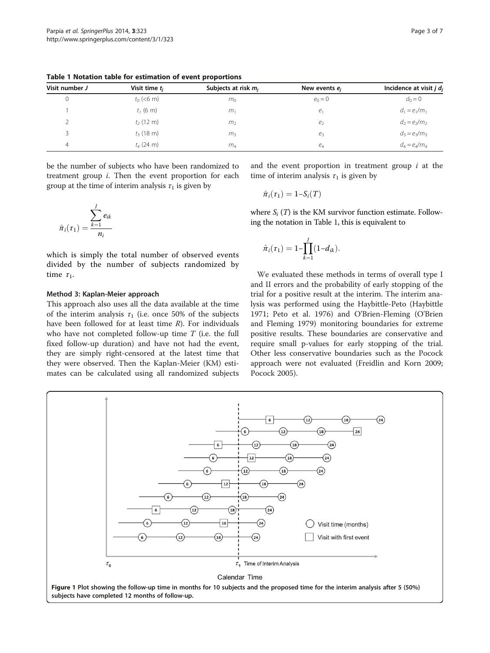| Visit number J | Visit time $t_i$ | Subjects at risk m <sub>i</sub> | New events e <sub>i</sub> | Incidence at visit $j$ $d_i$ |
|----------------|------------------|---------------------------------|---------------------------|------------------------------|
|                | $t_0$ (<6 m)     | m <sub>0</sub>                  | $e_0 = 0$                 | $d_0 = 0$                    |
|                | $t_1$ (6 m)      | m <sub>1</sub>                  | e <sub>1</sub>            | $d_1 = e_1/m_1$              |
|                | $t_2$ (12 m)     | m <sub>2</sub>                  | e <sub>2</sub>            | $d_2 = e_2/m_2$              |
|                | $t_3$ (18 m)     | m <sub>3</sub>                  | $e_3$                     | $d_3 = e_3/m_3$              |
| 4              | $t_4$ (24 m)     | m <sub>4</sub>                  | $e_4$                     | $d_4 = e_4/m_4$              |

<span id="page-2-0"></span>Table 1 Notation table for estimation of event proportions

be the number of subjects who have been randomized to treatment group i. Then the event proportion for each group at the time of interim analysis  $\tau_1$  is given by

$$
\hat{\pi}_i(\tau_1) = \frac{\sum_{k=1}^J e_{ik}}{n_i}
$$

which is simply the total number of observed events divided by the number of subjects randomized by time  $\tau_1$ .

## Method 3: Kaplan-Meier approach

This approach also uses all the data available at the time of the interim analysis  $\tau_1$  (i.e. once 50% of the subjects have been followed for at least time  $R$ ). For individuals who have not completed follow-up time  $T$  (i.e. the full fixed follow-up duration) and have not had the event, they are simply right-censored at the latest time that they were observed. Then the Kaplan-Meier (KM) estimates can be calculated using all randomized subjects and the event proportion in treatment group  $i$  at the time of interim analysis  $\tau_1$  is given by

$$
\hat{\pi}_i(\tau_1) = 1 - S_i(T)
$$

where  $S_i(T)$  is the KM survivor function estimate. Following the notation in Table 1, this is equivalent to

$$
\hat{\pi}_i(\tau_1) = 1 - \prod_{k=1}^J (1 - d_{ik}).
$$

We evaluated these methods in terms of overall type I and II errors and the probability of early stopping of the trial for a positive result at the interim. The interim analysis was performed using the Haybittle-Peto (Haybittle [1971](#page-6-0); Peto et al. [1976](#page-6-0)) and O'Brien-Fleming (O'Brien and Fleming [1979](#page-6-0)) monitoring boundaries for extreme positive results. These boundaries are conservative and require small p-values for early stopping of the trial. Other less conservative boundaries such as the Pocock approach were not evaluated (Freidlin and Korn [2009](#page-6-0); Pocock [2005\)](#page-6-0).

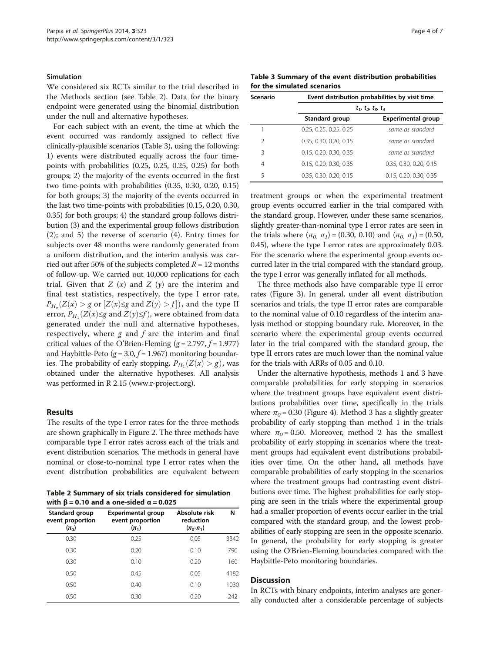## Simulation

We considered six RCTs similar to the trial described in the [Methods](#page-1-0) section (see Table 2). Data for the binary endpoint were generated using the binomial distribution under the null and alternative hypotheses.

For each subject with an event, the time at which the event occurred was randomly assigned to reflect five clinically-plausible scenarios (Table 3), using the following: 1) events were distributed equally across the four timepoints with probabilities (0.25, 0.25, 0.25, 0.25) for both groups; 2) the majority of the events occurred in the first two time-points with probabilities (0.35, 0.30, 0.20, 0.15) for both groups; 3) the majority of the events occurred in the last two time-points with probabilities (0.15, 0.20, 0.30, 0.35) for both groups; 4) the standard group follows distribution (3) and the experimental group follows distribution (2); and 5) the reverse of scenario (4). Entry times for subjects over 48 months were randomly generated from a uniform distribution, and the interim analysis was carried out after 50% of the subjects completed  $R = 12$  months of follow-up. We carried out 10,000 replications for each trial. Given that  $Z(x)$  and  $Z(y)$  are the interim and final test statistics, respectively, the type I error rate,  $P_{H_o}(Z(x) > g \text{ or } [Z(x) \le g \text{ and } Z(y) > f]),$  and the type II error,  $P_{H_1}(Z(x) \leq g$  and  $Z(y) \leq f$ ), were obtained from data generated under the null and alternative hypotheses, respectively, where  $g$  and  $f$  are the interim and final critical values of the O'Brien-Fleming  $(g = 2.797, f = 1.977)$ and Haybittle-Peto  $(g = 3.0, f = 1.967)$  monitoring boundaries. The probability of early stopping,  $P_{H_1}(Z(x) > g)$ , was obtained under the alternative hypotheses. All analysis was performed in R 2.15 ([www.r-project.org](http://www.r-project.org)).

## Results

The results of the type I error rates for the three methods are shown graphically in Figure [2.](#page-4-0) The three methods have comparable type I error rates across each of the trials and event distribution scenarios. The methods in general have nominal or close-to-nominal type I error rates when the event distribution probabilities are equivalent between

Table 2 Summary of six trials considered for simulation with  $\beta$  = 0.10 and a one-sided  $\alpha$  = 0.025

| Standard group<br>event proportion<br>$(\pi_0)$ | <b>Experimental group</b><br>event proportion<br>$(\pi_1)$ | Absolute risk<br>reduction<br>$(\pi_0 - \pi_1)$ | N    |
|-------------------------------------------------|------------------------------------------------------------|-------------------------------------------------|------|
| 0.30                                            | 0.25                                                       | 0.05                                            | 3342 |
| 0.30                                            | 0.20                                                       | 0.10                                            | 796  |
| 0.30                                            | 0.10                                                       | 0.20                                            | 160  |
| 0.50                                            | 0.45                                                       | 0.05                                            | 4182 |
| 0.50                                            | 0.40                                                       | 0.10                                            | 1030 |
| 0.50                                            | 0.30                                                       | 0.20                                            | 242  |

Table 3 Summary of the event distribution probabilities for the simulated scenarios

| Scenario      | Event distribution probabilities by visit time<br>$t_1$ , $t_2$ , $t_3$ , $t_4$ |                           |  |  |
|---------------|---------------------------------------------------------------------------------|---------------------------|--|--|
|               |                                                                                 |                           |  |  |
|               | Standard group                                                                  | <b>Experimental group</b> |  |  |
|               | 0.25, 0.25, 0.25, 0.25                                                          | same as standard          |  |  |
| $\mathcal{P}$ | 0.35, 0.30, 0.20, 0.15                                                          | same as standard          |  |  |
| 3             | 0.15, 0.20, 0.30, 0.35                                                          | same as standard          |  |  |
| 4             | 0.15, 0.20, 0.30, 0.35                                                          | 0.35, 0.30, 0.20, 0.15    |  |  |
| 5             | 0.35, 0.30, 0.20, 0.15                                                          | 0.15, 0.20, 0.30, 0.35    |  |  |

treatment groups or when the experimental treatment group events occurred earlier in the trial compared with the standard group. However, under these same scenarios, slightly greater-than-nominal type I error rates are seen in the trials where  $(\pi_0, \pi_1)$  = (0.30, 0.10) and  $(\pi_0, \pi_1)$  = (0.50, 0.45), where the type I error rates are approximately 0.03. For the scenario where the experimental group events occurred later in the trial compared with the standard group, the type I error was generally inflated for all methods.

The three methods also have comparable type II error rates (Figure [3\)](#page-4-0). In general, under all event distribution scenarios and trials, the type II error rates are comparable to the nominal value of 0.10 regardless of the interim analysis method or stopping boundary rule. Moreover, in the scenario where the experimental group events occurred later in the trial compared with the standard group, the type II errors rates are much lower than the nominal value for the trials with ARRs of 0.05 and 0.10.

Under the alternative hypothesis, methods 1 and 3 have comparable probabilities for early stopping in scenarios where the treatment groups have equivalent event distributions probabilities over time, specifically in the trials where  $\pi_0$  = 0.30 (Figure [4\)](#page-5-0). Method 3 has a slightly greater probability of early stopping than method 1 in the trials where  $\pi_0 = 0.50$ . Moreover, method 2 has the smallest probability of early stopping in scenarios where the treatment groups had equivalent event distributions probabilities over time. On the other hand, all methods have comparable probabilities of early stopping in the scenarios where the treatment groups had contrasting event distributions over time. The highest probabilities for early stopping are seen in the trials where the experimental group had a smaller proportion of events occur earlier in the trial compared with the standard group, and the lowest probabilities of early stopping are seen in the opposite scenario. In general, the probability for early stopping is greater using the O'Brien-Fleming boundaries compared with the Haybittle-Peto monitoring boundaries.

## **Discussion**

In RCTs with binary endpoints, interim analyses are generally conducted after a considerable percentage of subjects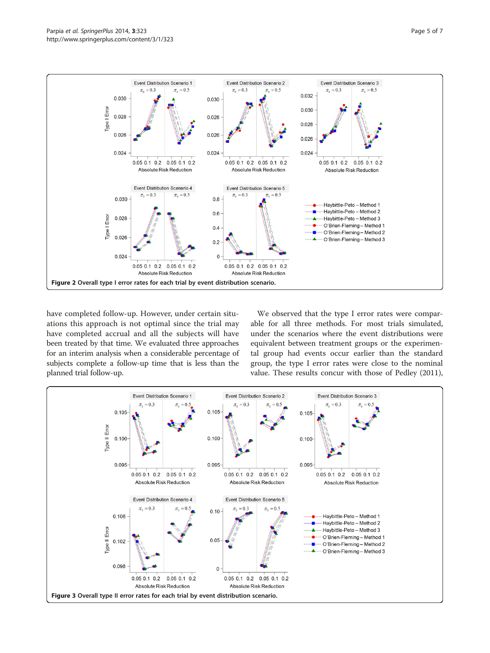<span id="page-4-0"></span>

have completed follow-up. However, under certain situations this approach is not optimal since the trial may have completed accrual and all the subjects will have been treated by that time. We evaluated three approaches for an interim analysis when a considerable percentage of subjects complete a follow-up time that is less than the planned trial follow-up.

We observed that the type I error rates were comparable for all three methods. For most trials simulated, under the scenarios where the event distributions were equivalent between treatment groups or the experimental group had events occur earlier than the standard group, the type I error rates were close to the nominal value. These results concur with those of Pedley ([2011](#page-6-0)),

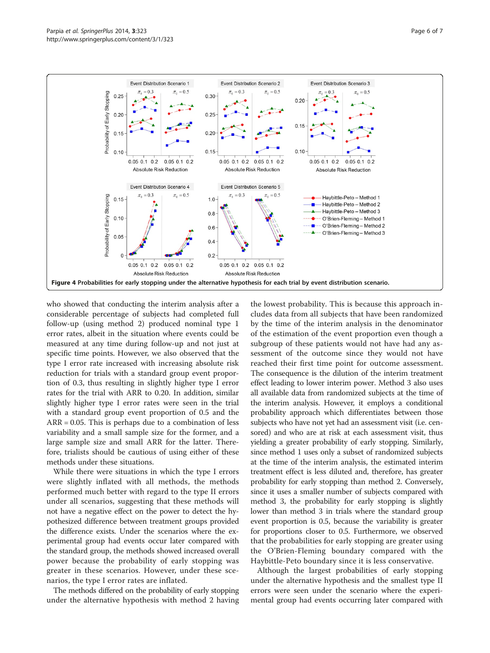<span id="page-5-0"></span>

who showed that conducting the interim analysis after a considerable percentage of subjects had completed full follow-up (using method 2) produced nominal type 1 error rates, albeit in the situation where events could be measured at any time during follow-up and not just at specific time points. However, we also observed that the type I error rate increased with increasing absolute risk reduction for trials with a standard group event proportion of 0.3, thus resulting in slightly higher type I error rates for the trial with ARR to 0.20. In addition, similar slightly higher type I error rates were seen in the trial with a standard group event proportion of 0.5 and the ARR = 0.05. This is perhaps due to a combination of less variability and a small sample size for the former, and a large sample size and small ARR for the latter. Therefore, trialists should be cautious of using either of these methods under these situations.

While there were situations in which the type I errors were slightly inflated with all methods, the methods performed much better with regard to the type II errors under all scenarios, suggesting that these methods will not have a negative effect on the power to detect the hypothesized difference between treatment groups provided the difference exists. Under the scenarios where the experimental group had events occur later compared with the standard group, the methods showed increased overall power because the probability of early stopping was greater in these scenarios. However, under these scenarios, the type I error rates are inflated.

The methods differed on the probability of early stopping under the alternative hypothesis with method 2 having

the lowest probability. This is because this approach includes data from all subjects that have been randomized by the time of the interim analysis in the denominator of the estimation of the event proportion even though a subgroup of these patients would not have had any assessment of the outcome since they would not have reached their first time point for outcome assessment. The consequence is the dilution of the interim treatment effect leading to lower interim power. Method 3 also uses all available data from randomized subjects at the time of the interim analysis. However, it employs a conditional probability approach which differentiates between those subjects who have not yet had an assessment visit (i.e. censored) and who are at risk at each assessment visit, thus yielding a greater probability of early stopping. Similarly, since method 1 uses only a subset of randomized subjects at the time of the interim analysis, the estimated interim treatment effect is less diluted and, therefore, has greater probability for early stopping than method 2. Conversely, since it uses a smaller number of subjects compared with method 3, the probability for early stopping is slightly lower than method 3 in trials where the standard group event proportion is 0.5, because the variability is greater for proportions closer to 0.5. Furthermore, we observed that the probabilities for early stopping are greater using the O'Brien-Fleming boundary compared with the Haybittle-Peto boundary since it is less conservative.

Although the largest probabilities of early stopping under the alternative hypothesis and the smallest type II errors were seen under the scenario where the experimental group had events occurring later compared with